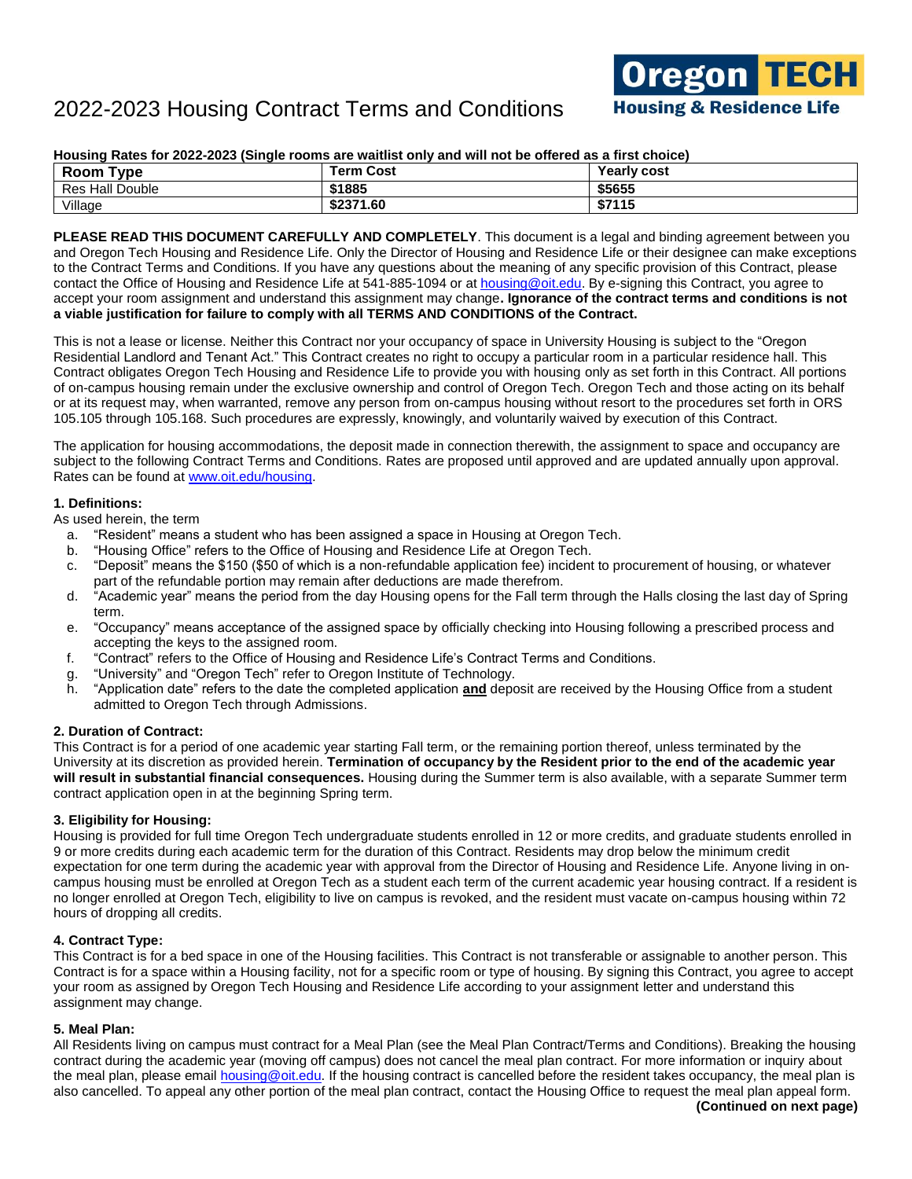### **Housing Rates for 2022-2023 (Single rooms are waitlist only and will not be offered as a first choice)**

| түре<br>Room           | Cost<br>Term ∖ | Yearly cost |
|------------------------|----------------|-------------|
| <b>Res Hall Double</b> | \$1885         | \$5655      |
| Village                | \$2371.60      | \$7115      |

**PLEASE READ THIS DOCUMENT CAREFULLY AND COMPLETELY**. This document is a legal and binding agreement between you and Oregon Tech Housing and Residence Life. Only the Director of Housing and Residence Life or their designee can make exceptions to the Contract Terms and Conditions. If you have any questions about the meaning of any specific provision of this Contract, please contact the Office of Housing and Residence Life at 541-885-1094 or a[t housing@oit.edu.](mailto:housing@oit.edu) By e-signing this Contract, you agree to accept your room assignment and understand this assignment may change**. Ignorance of the contract terms and conditions is not a viable justification for failure to comply with all TERMS AND CONDITIONS of the Contract.**

This is not a lease or license. Neither this Contract nor your occupancy of space in University Housing is subject to the "Oregon Residential Landlord and Tenant Act." This Contract creates no right to occupy a particular room in a particular residence hall. This Contract obligates Oregon Tech Housing and Residence Life to provide you with housing only as set forth in this Contract. All portions of on-campus housing remain under the exclusive ownership and control of Oregon Tech. Oregon Tech and those acting on its behalf or at its request may, when warranted, remove any person from on-campus housing without resort to the procedures set forth in ORS 105.105 through 105.168. Such procedures are expressly, knowingly, and voluntarily waived by execution of this Contract.

The application for housing accommodations, the deposit made in connection therewith, the assignment to space and occupancy are subject to the following Contract Terms and Conditions. Rates are proposed until approved and are updated annually upon approval. Rates can be found at [www.oit.edu/housing.](http://www.oit.edu/housing)

### **1. Definitions:**

As used herein, the term

- a. "Resident" means a student who has been assigned a space in Housing at Oregon Tech.
- b. "Housing Office" refers to the Office of Housing and Residence Life at Oregon Tech.
- c. "Deposit" means the \$150 (\$50 of which is a non-refundable application fee) incident to procurement of housing, or whatever part of the refundable portion may remain after deductions are made therefrom.
- d. "Academic year" means the period from the day Housing opens for the Fall term through the Halls closing the last day of Spring term.
- e. "Occupancy" means acceptance of the assigned space by officially checking into Housing following a prescribed process and accepting the keys to the assigned room.
- f. "Contract" refers to the Office of Housing and Residence Life's Contract Terms and Conditions.
- g. "University" and "Oregon Tech" refer to Oregon Institute of Technology.
- h. "Application date" refers to the date the completed application **and** deposit are received by the Housing Office from a student admitted to Oregon Tech through Admissions.

### **2. Duration of Contract:**

This Contract is for a period of one academic year starting Fall term, or the remaining portion thereof, unless terminated by the University at its discretion as provided herein. **Termination of occupancy by the Resident prior to the end of the academic year will result in substantial financial consequences.** Housing during the Summer term is also available, with a separate Summer term contract application open in at the beginning Spring term.

### **3. Eligibility for Housing:**

Housing is provided for full time Oregon Tech undergraduate students enrolled in 12 or more credits, and graduate students enrolled in 9 or more credits during each academic term for the duration of this Contract. Residents may drop below the minimum credit expectation for one term during the academic year with approval from the Director of Housing and Residence Life. Anyone living in oncampus housing must be enrolled at Oregon Tech as a student each term of the current academic year housing contract. If a resident is no longer enrolled at Oregon Tech, eligibility to live on campus is revoked, and the resident must vacate on-campus housing within 72 hours of dropping all credits.

### **4. Contract Type:**

This Contract is for a bed space in one of the Housing facilities. This Contract is not transferable or assignable to another person. This Contract is for a space within a Housing facility, not for a specific room or type of housing. By signing this Contract, you agree to accept your room as assigned by Oregon Tech Housing and Residence Life according to your assignment letter and understand this assignment may change.

### **5. Meal Plan:**

All Residents living on campus must contract for a Meal Plan (see the Meal Plan Contract/Terms and Conditions). Breaking the housing contract during the academic year (moving off campus) does not cancel the meal plan contract. For more information or inquiry about the meal plan, please email [housing@oit.edu.](mailto:housing@oit.edu) If the housing contract is cancelled before the resident takes occupancy, the meal plan is also cancelled. To appeal any other portion of the meal plan contract, contact the Housing Office to request the meal plan appeal form.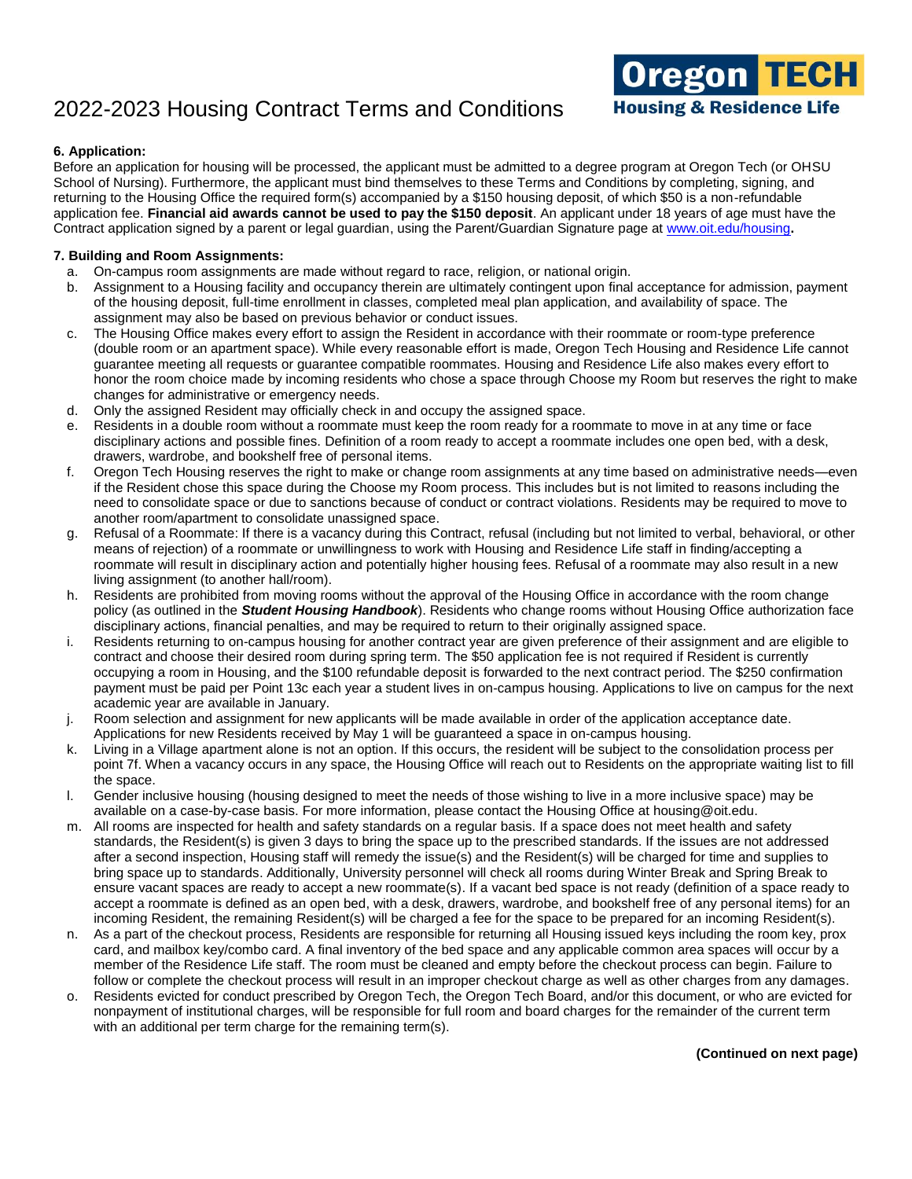

### **6. Application:**

Before an application for housing will be processed, the applicant must be admitted to a degree program at Oregon Tech (or OHSU School of Nursing). Furthermore, the applicant must bind themselves to these Terms and Conditions by completing, signing, and returning to the Housing Office the required form(s) accompanied by a \$150 housing deposit, of which \$50 is a non-refundable application fee. **Financial aid awards cannot be used to pay the \$150 deposit**. An applicant under 18 years of age must have the Contract application signed by a parent or legal guardian, using the Parent/Guardian Signature page at [www.oit.edu/housing](http://www.oit.edu/housing)**.**

### **7. Building and Room Assignments:**

- a. On-campus room assignments are made without regard to race, religion, or national origin.
- b. Assignment to a Housing facility and occupancy therein are ultimately contingent upon final acceptance for admission, payment of the housing deposit, full-time enrollment in classes, completed meal plan application, and availability of space. The assignment may also be based on previous behavior or conduct issues.
- c. The Housing Office makes every effort to assign the Resident in accordance with their roommate or room-type preference (double room or an apartment space). While every reasonable effort is made, Oregon Tech Housing and Residence Life cannot guarantee meeting all requests or guarantee compatible roommates. Housing and Residence Life also makes every effort to honor the room choice made by incoming residents who chose a space through Choose my Room but reserves the right to make changes for administrative or emergency needs.
- d. Only the assigned Resident may officially check in and occupy the assigned space.
- e. Residents in a double room without a roommate must keep the room ready for a roommate to move in at any time or face disciplinary actions and possible fines. Definition of a room ready to accept a roommate includes one open bed, with a desk, drawers, wardrobe, and bookshelf free of personal items.
- f. Oregon Tech Housing reserves the right to make or change room assignments at any time based on administrative needs—even if the Resident chose this space during the Choose my Room process. This includes but is not limited to reasons including the need to consolidate space or due to sanctions because of conduct or contract violations. Residents may be required to move to another room/apartment to consolidate unassigned space.
- g. Refusal of a Roommate: If there is a vacancy during this Contract, refusal (including but not limited to verbal, behavioral, or other means of rejection) of a roommate or unwillingness to work with Housing and Residence Life staff in finding/accepting a roommate will result in disciplinary action and potentially higher housing fees. Refusal of a roommate may also result in a new living assignment (to another hall/room).
- h. Residents are prohibited from moving rooms without the approval of the Housing Office in accordance with the room change policy (as outlined in the *Student Housing Handbook*). Residents who change rooms without Housing Office authorization face disciplinary actions, financial penalties, and may be required to return to their originally assigned space.
- i. Residents returning to on-campus housing for another contract year are given preference of their assignment and are eligible to contract and choose their desired room during spring term. The \$50 application fee is not required if Resident is currently occupying a room in Housing, and the \$100 refundable deposit is forwarded to the next contract period. The \$250 confirmation payment must be paid per Point 13c each year a student lives in on-campus housing. Applications to live on campus for the next academic year are available in January.
- j. Room selection and assignment for new applicants will be made available in order of the application acceptance date. Applications for new Residents received by May 1 will be guaranteed a space in on-campus housing.
- k. Living in a Village apartment alone is not an option. If this occurs, the resident will be subject to the consolidation process per point 7f. When a vacancy occurs in any space, the Housing Office will reach out to Residents on the appropriate waiting list to fill the space.
- l. Gender inclusive housing (housing designed to meet the needs of those wishing to live in a more inclusive space) may be available on a case-by-case basis. For more information, please contact the Housing Office at housing@oit.edu.
- m. All rooms are inspected for health and safety standards on a regular basis. If a space does not meet health and safety standards, the Resident(s) is given 3 days to bring the space up to the prescribed standards. If the issues are not addressed after a second inspection, Housing staff will remedy the issue(s) and the Resident(s) will be charged for time and supplies to bring space up to standards. Additionally, University personnel will check all rooms during Winter Break and Spring Break to ensure vacant spaces are ready to accept a new roommate(s). If a vacant bed space is not ready (definition of a space ready to accept a roommate is defined as an open bed, with a desk, drawers, wardrobe, and bookshelf free of any personal items) for an incoming Resident, the remaining Resident(s) will be charged a fee for the space to be prepared for an incoming Resident(s).
- n. As a part of the checkout process, Residents are responsible for returning all Housing issued keys including the room key, prox card, and mailbox key/combo card. A final inventory of the bed space and any applicable common area spaces will occur by a member of the Residence Life staff. The room must be cleaned and empty before the checkout process can begin. Failure to follow or complete the checkout process will result in an improper checkout charge as well as other charges from any damages.
- o. Residents evicted for conduct prescribed by Oregon Tech, the Oregon Tech Board, and/or this document, or who are evicted for nonpayment of institutional charges, will be responsible for full room and board charges for the remainder of the current term with an additional per term charge for the remaining term(s).

**(Continued on next page)**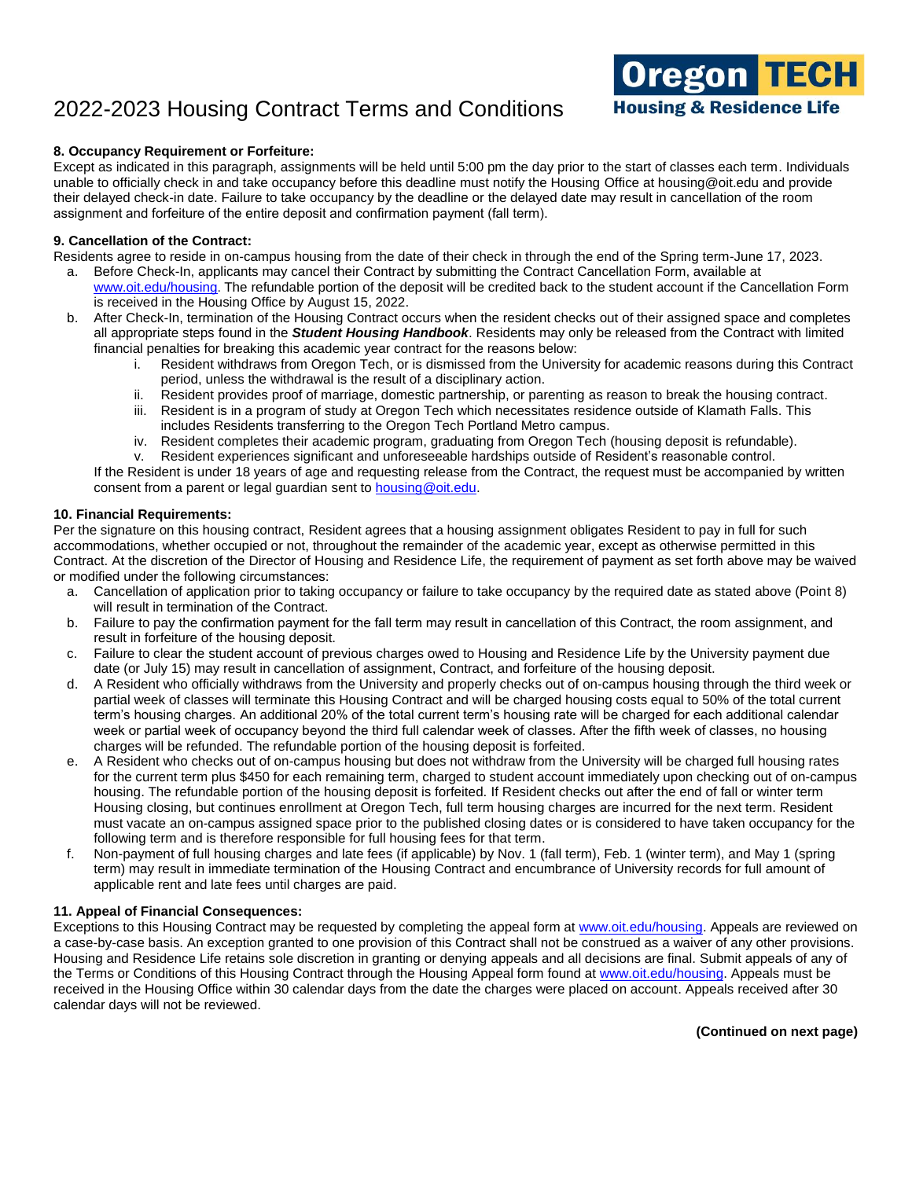

### **8. Occupancy Requirement or Forfeiture:**

Except as indicated in this paragraph, assignments will be held until 5:00 pm the day prior to the start of classes each term. Individuals unable to officially check in and take occupancy before this deadline must notify the Housing Office at housing@oit.edu and provide their delayed check-in date. Failure to take occupancy by the deadline or the delayed date may result in cancellation of the room assignment and forfeiture of the entire deposit and confirmation payment (fall term).

#### **9. Cancellation of the Contract:**

Residents agree to reside in on-campus housing from the date of their check in through the end of the Spring term-June 17, 2023.

- a. Before Check-In, applicants may cancel their Contract by submitting the Contract Cancellation Form, available at www.oit.edu/housing. The refundable portion of the deposit will be credited back to the student account if the Cancellation Form is received in the Housing Office by August 15, 2022.
- b. After Check-In, termination of the Housing Contract occurs when the resident checks out of their assigned space and completes all appropriate steps found in the *Student Housing Handbook*. Residents may only be released from the Contract with limited financial penalties for breaking this academic year contract for the reasons below:
	- i. Resident withdraws from Oregon Tech, or is dismissed from the University for academic reasons during this Contract period, unless the withdrawal is the result of a disciplinary action.
	- ii. Resident provides proof of marriage, domestic partnership, or parenting as reason to break the housing contract.
	- iii. Resident is in a program of study at Oregon Tech which necessitates residence outside of Klamath Falls. This includes Residents transferring to the Oregon Tech Portland Metro campus.
	- iv. Resident completes their academic program, graduating from Oregon Tech (housing deposit is refundable).
	- v. Resident experiences significant and unforeseeable hardships outside of Resident's reasonable control.

If the Resident is under 18 years of age and requesting release from the Contract, the request must be accompanied by written consent from a parent or legal guardian sent to [housing@oit.edu.](https://oregontech-my.sharepoint.com/personal/mandi_clark_oit_edu/Documents/Housing%20contract%20info/2022-2023/housing@oit.edu)

#### **10. Financial Requirements:**

Per the signature on this housing contract, Resident agrees that a housing assignment obligates Resident to pay in full for such accommodations, whether occupied or not, throughout the remainder of the academic year, except as otherwise permitted in this Contract. At the discretion of the Director of Housing and Residence Life, the requirement of payment as set forth above may be waived or modified under the following circumstances:

- a. Cancellation of application prior to taking occupancy or failure to take occupancy by the required date as stated above (Point 8) will result in termination of the Contract.
- b. Failure to pay the confirmation payment for the fall term may result in cancellation of this Contract, the room assignment, and result in forfeiture of the housing deposit.
- c. Failure to clear the student account of previous charges owed to Housing and Residence Life by the University payment due date (or July 15) may result in cancellation of assignment, Contract, and forfeiture of the housing deposit.
- d. A Resident who officially withdraws from the University and properly checks out of on-campus housing through the third week or partial week of classes will terminate this Housing Contract and will be charged housing costs equal to 50% of the total current term's housing charges. An additional 20% of the total current term's housing rate will be charged for each additional calendar week or partial week of occupancy beyond the third full calendar week of classes. After the fifth week of classes, no housing charges will be refunded. The refundable portion of the housing deposit is forfeited.
- e. A Resident who checks out of on-campus housing but does not withdraw from the University will be charged full housing rates for the current term plus \$450 for each remaining term, charged to student account immediately upon checking out of on-campus housing. The refundable portion of the housing deposit is forfeited. If Resident checks out after the end of fall or winter term Housing closing, but continues enrollment at Oregon Tech, full term housing charges are incurred for the next term. Resident must vacate an on-campus assigned space prior to the published closing dates or is considered to have taken occupancy for the following term and is therefore responsible for full housing fees for that term.
- f. Non-payment of full housing charges and late fees (if applicable) by Nov. 1 (fall term), Feb. 1 (winter term), and May 1 (spring term) may result in immediate termination of the Housing Contract and encumbrance of University records for full amount of applicable rent and late fees until charges are paid.

### **11. Appeal of Financial Consequences:**

Exceptions to this Housing Contract may be requested by completing the appeal form a[t www.oit.edu/housing.](https://oregontech-my.sharepoint.com/personal/mandi_clark_oit_edu/Documents/Housing%20contract%20info/2022-2023/www.oit.edu/housing) Appeals are reviewed on a case-by-case basis. An exception granted to one provision of this Contract shall not be construed as a waiver of any other provisions. Housing and Residence Life retains sole discretion in granting or denying appeals and all decisions are final. Submit appeals of any of the Terms or Conditions of this Housing Contract through the Housing Appeal form found a[t www.oit.edu/housing.](https://oregontech-my.sharepoint.com/personal/mandi_clark_oit_edu/Documents/Housing%20contract%20info/2021-2022/www.oit.edu/housing) Appeals must be received in the Housing Office within 30 calendar days from the date the charges were placed on account. Appeals received after 30 calendar days will not be reviewed.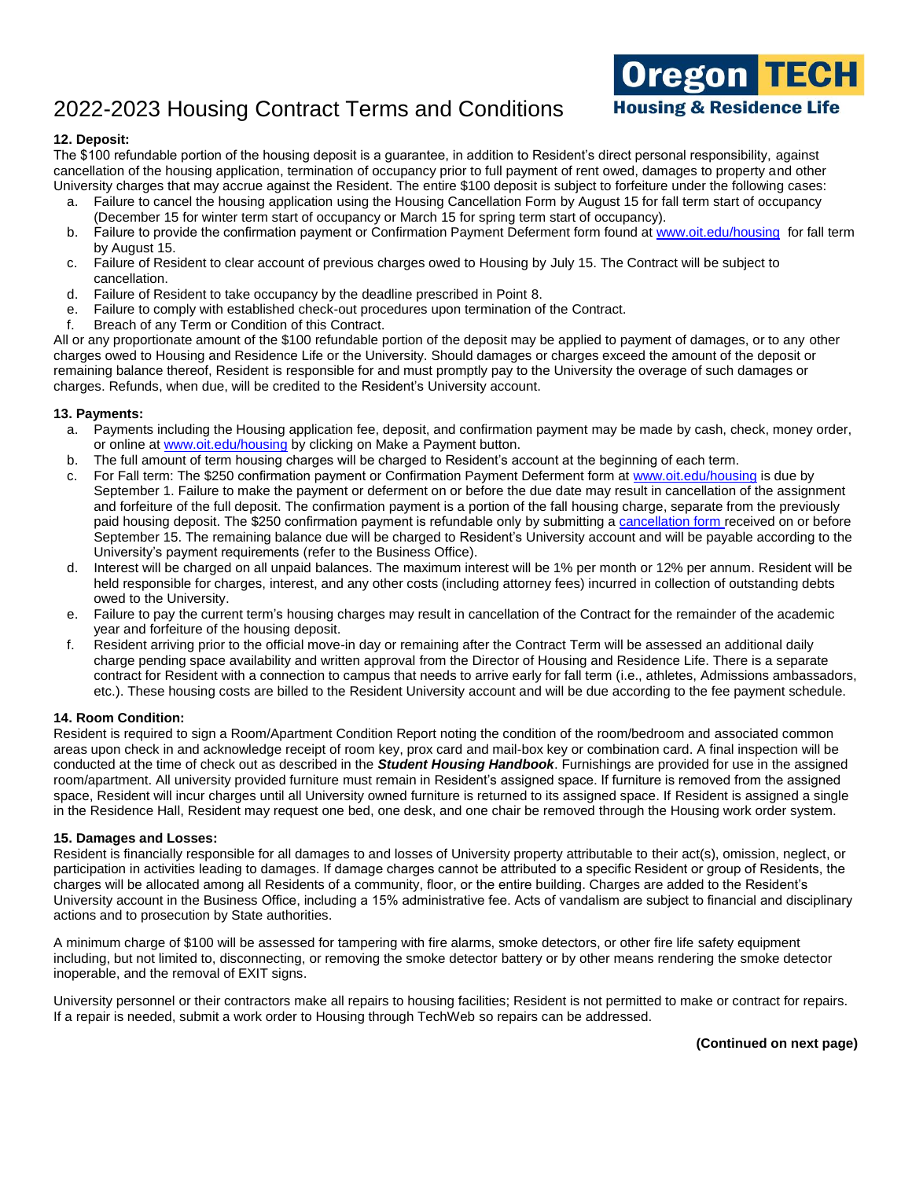

### **12. Deposit:**

The \$100 refundable portion of the housing deposit is a guarantee, in addition to Resident's direct personal responsibility, against cancellation of the housing application, termination of occupancy prior to full payment of rent owed, damages to property and other University charges that may accrue against the Resident. The entire \$100 deposit is subject to forfeiture under the following cases:

- a. Failure to cancel the housing application using the Housing Cancellation Form by August 15 for fall term start of occupancy (December 15 for winter term start of occupancy or March 15 for spring term start of occupancy).
- b. Failure to provide the confirmation payment or Confirmation Payment Deferment form found a[t www.oit.edu/housing](http://www.oit.edu/housing) for fall term by August 15.
- c. Failure of Resident to clear account of previous charges owed to Housing by July 15. The Contract will be subject to cancellation.
- d. Failure of Resident to take occupancy by the deadline prescribed in Point 8.
- e. Failure to comply with established check-out procedures upon termination of the Contract.
- f. Breach of any Term or Condition of this Contract.

All or any proportionate amount of the \$100 refundable portion of the deposit may be applied to payment of damages, or to any other charges owed to Housing and Residence Life or the University. Should damages or charges exceed the amount of the deposit or remaining balance thereof, Resident is responsible for and must promptly pay to the University the overage of such damages or charges. Refunds, when due, will be credited to the Resident's University account.

### **13. Payments:**

- a. Payments including the Housing application fee, deposit, and confirmation payment may be made by cash, check, money order, or online at [www.oit.edu/housing](http://www.oit.edu/housing) by clicking on Make a Payment button.
- b. The full amount of term housing charges will be charged to Resident's account at the beginning of each term.
- c. For Fall term: The \$250 confirmation payment or Confirmation Payment Deferment form at [www.oit.edu/housing](http://www.oit.edu/housing) is due by September 1. Failure to make the payment or deferment on or before the due date may result in cancellation of the assignment and forfeiture of the full deposit. The confirmation payment is a portion of the fall housing charge, separate from the previously paid housing deposit. The \$250 confirmation payment is refundable only by submitting [a cancellation form r](https://app.signnow.com/webapp/document/f721c0e2a8ff45c097b62e68d921b7aa3fde8452?dispatched=true&mobileweb=mobileweb_only&redirect_uri=https%253A%252F%252Fapp.signnow.com%252Fhtml%252Fthanks-for-signing%253Fdocument_id%253Df721c0e2a8ff45c097b62e68d921b7aa3fde8452%2526access_token%253D2b18714c309d131872638f769e7c2d42142ecfe35f55e788aca4e29f99bcf825&sign=1)eceived on or before September 15. The remaining balance due will be charged to Resident's University account and will be payable according to the University's payment requirements (refer to the Business Office).
- d. Interest will be charged on all unpaid balances. The maximum interest will be 1% per month or 12% per annum. Resident will be held responsible for charges, interest, and any other costs (including attorney fees) incurred in collection of outstanding debts owed to the University.
- e. Failure to pay the current term's housing charges may result in cancellation of the Contract for the remainder of the academic year and forfeiture of the housing deposit.
- f. Resident arriving prior to the official move-in day or remaining after the Contract Term will be assessed an additional daily charge pending space availability and written approval from the Director of Housing and Residence Life. There is a separate contract for Resident with a connection to campus that needs to arrive early for fall term (i.e., athletes, Admissions ambassadors, etc.). These housing costs are billed to the Resident University account and will be due according to the fee payment schedule.

### **14. Room Condition:**

Resident is required to sign a Room/Apartment Condition Report noting the condition of the room/bedroom and associated common areas upon check in and acknowledge receipt of room key, prox card and mail-box key or combination card. A final inspection will be conducted at the time of check out as described in the *Student Housing Handbook*. Furnishings are provided for use in the assigned room/apartment. All university provided furniture must remain in Resident's assigned space. If furniture is removed from the assigned space, Resident will incur charges until all University owned furniture is returned to its assigned space. If Resident is assigned a single in the Residence Hall, Resident may request one bed, one desk, and one chair be removed through the Housing work order system.

### **15. Damages and Losses:**

Resident is financially responsible for all damages to and losses of University property attributable to their act(s), omission, neglect, or participation in activities leading to damages. If damage charges cannot be attributed to a specific Resident or group of Residents, the charges will be allocated among all Residents of a community, floor, or the entire building. Charges are added to the Resident's University account in the Business Office, including a 15% administrative fee. Acts of vandalism are subject to financial and disciplinary actions and to prosecution by State authorities.

A minimum charge of \$100 will be assessed for tampering with fire alarms, smoke detectors, or other fire life safety equipment including, but not limited to, disconnecting, or removing the smoke detector battery or by other means rendering the smoke detector inoperable, and the removal of EXIT signs.

University personnel or their contractors make all repairs to housing facilities; Resident is not permitted to make or contract for repairs. If a repair is needed, submit a work order to Housing through TechWeb so repairs can be addressed.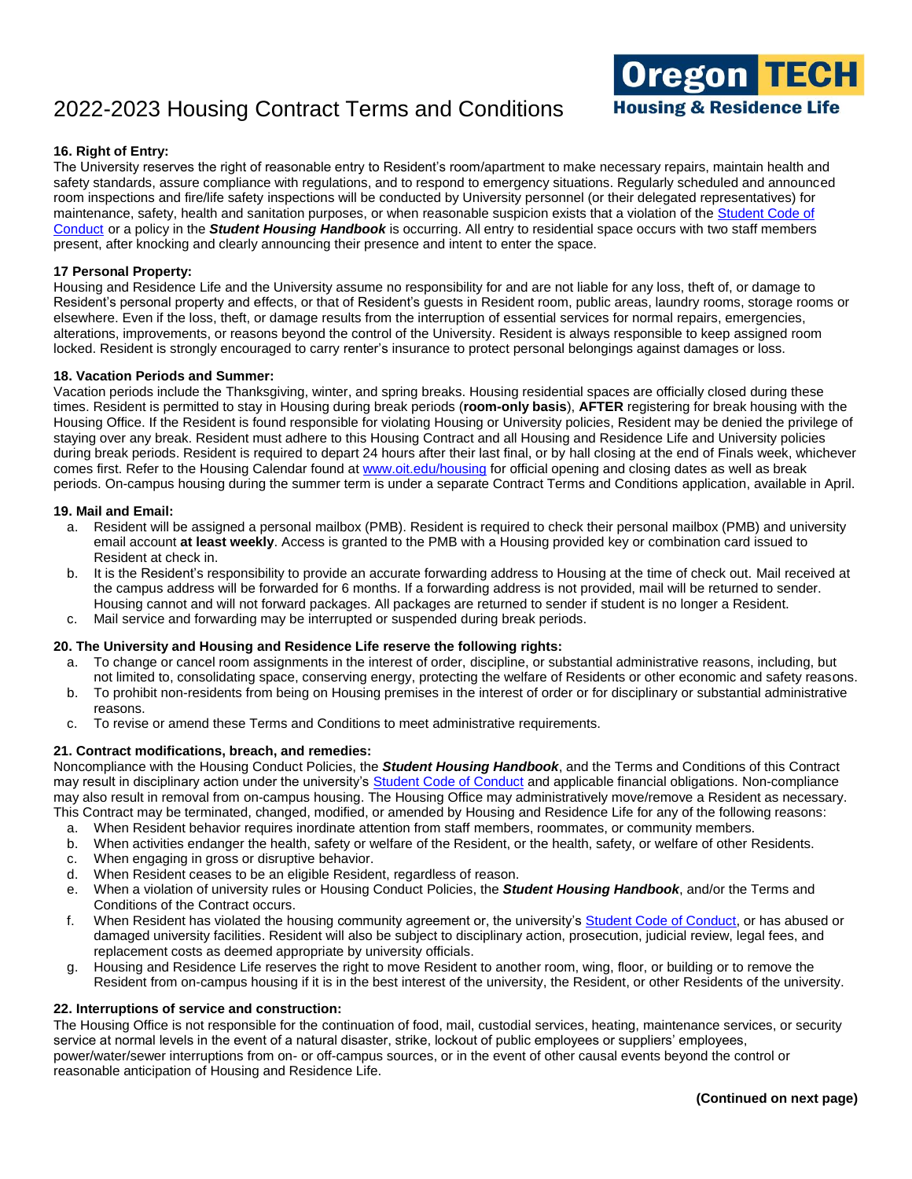

### **16. Right of Entry:**

The University reserves the right of reasonable entry to Resident's room/apartment to make necessary repairs, maintain health and safety standards, assure compliance with regulations, and to respond to emergency situations. Regularly scheduled and announced room inspections and fire/life safety inspections will be conducted by University personnel (or their delegated representatives) for maintenance, safety, health and sanitation purposes, or when reasonable suspicion exists that a violation of the Student Code of [Conduct](http://www.oit.edu/docs/default-source/Student-Affairs-/student-handbook/student-conduct-code.pdf) or a policy in the *Student Housing Handbook* is occurring. All entry to residential space occurs with two staff members present, after knocking and clearly announcing their presence and intent to enter the space.

### **17 Personal Property:**

Housing and Residence Life and the University assume no responsibility for and are not liable for any loss, theft of, or damage to Resident's personal property and effects, or that of Resident's guests in Resident room, public areas, laundry rooms, storage rooms or elsewhere. Even if the loss, theft, or damage results from the interruption of essential services for normal repairs, emergencies, alterations, improvements, or reasons beyond the control of the University. Resident is always responsible to keep assigned room locked. Resident is strongly encouraged to carry renter's insurance to protect personal belongings against damages or loss.

#### **18. Vacation Periods and Summer:**

Vacation periods include the Thanksgiving, winter, and spring breaks. Housing residential spaces are officially closed during these times. Resident is permitted to stay in Housing during break periods (**room-only basis**), **AFTER** registering for break housing with the Housing Office. If the Resident is found responsible for violating Housing or University policies, Resident may be denied the privilege of staying over any break. Resident must adhere to this Housing Contract and all Housing and Residence Life and University policies during break periods. Resident is required to depart 24 hours after their last final, or by hall closing at the end of Finals week, whichever comes first. Refer to the Housing Calendar found a[t www.oit.edu/housing](http://www.oit.edu/housing) for official opening and closing dates as well as break periods. On-campus housing during the summer term is under a separate Contract Terms and Conditions application, available in April.

#### **19. Mail and Email:**

- a. Resident will be assigned a personal mailbox (PMB). Resident is required to check their personal mailbox (PMB) and university email account **at least weekly**. Access is granted to the PMB with a Housing provided key or combination card issued to Resident at check in.
- b. It is the Resident's responsibility to provide an accurate forwarding address to Housing at the time of check out. Mail received at the campus address will be forwarded for 6 months. If a forwarding address is not provided, mail will be returned to sender. Housing cannot and will not forward packages. All packages are returned to sender if student is no longer a Resident.
- c. Mail service and forwarding may be interrupted or suspended during break periods.

### **20. The University and Housing and Residence Life reserve the following rights:**

- a. To change or cancel room assignments in the interest of order, discipline, or substantial administrative reasons, including, but not limited to, consolidating space, conserving energy, protecting the welfare of Residents or other economic and safety reasons.
- b. To prohibit non-residents from being on Housing premises in the interest of order or for disciplinary or substantial administrative reasons.
- c. To revise or amend these Terms and Conditions to meet administrative requirements.

#### **21. Contract modifications, breach, and remedies:**

Noncompliance with the Housing Conduct Policies, the *Student Housing Handbook*, and the Terms and Conditions of this Contract may result in disciplinary action under the university's [Student Code of Conduct](http://www.oit.edu/docs/default-source/Student-Affairs-/student-handbook/student-conduct-code.pdf) and applicable financial obligations. Non-compliance may also result in removal from on-campus housing. The Housing Office may administratively move/remove a Resident as necessary. This Contract may be terminated, changed, modified, or amended by Housing and Residence Life for any of the following reasons:

- a. When Resident behavior requires inordinate attention from staff members, roommates, or community members.
- b. When activities endanger the health, safety or welfare of the Resident, or the health, safety, or welfare of other Residents.
- c. When engaging in gross or disruptive behavior.
- d. When Resident ceases to be an eligible Resident, regardless of reason.
- e. When a violation of university rules or Housing Conduct Policies, the *Student Housing Handbook*, and/or the Terms and Conditions of the Contract occurs.
- f. When Resident has violated the housing community agreement or, the university's [Student Code of Conduct,](http://www.oit.edu/docs/default-source/Student-Affairs-/student-handbook/student-conduct-code.pdf) or has abused or damaged university facilities. Resident will also be subject to disciplinary action, prosecution, judicial review, legal fees, and replacement costs as deemed appropriate by university officials.
- g. Housing and Residence Life reserves the right to move Resident to another room, wing, floor, or building or to remove the Resident from on-campus housing if it is in the best interest of the university, the Resident, or other Residents of the university.

#### **22. Interruptions of service and construction:**

The Housing Office is not responsible for the continuation of food, mail, custodial services, heating, maintenance services, or security service at normal levels in the event of a natural disaster, strike, lockout of public employees or suppliers' employees, power/water/sewer interruptions from on- or off-campus sources, or in the event of other causal events beyond the control or reasonable anticipation of Housing and Residence Life.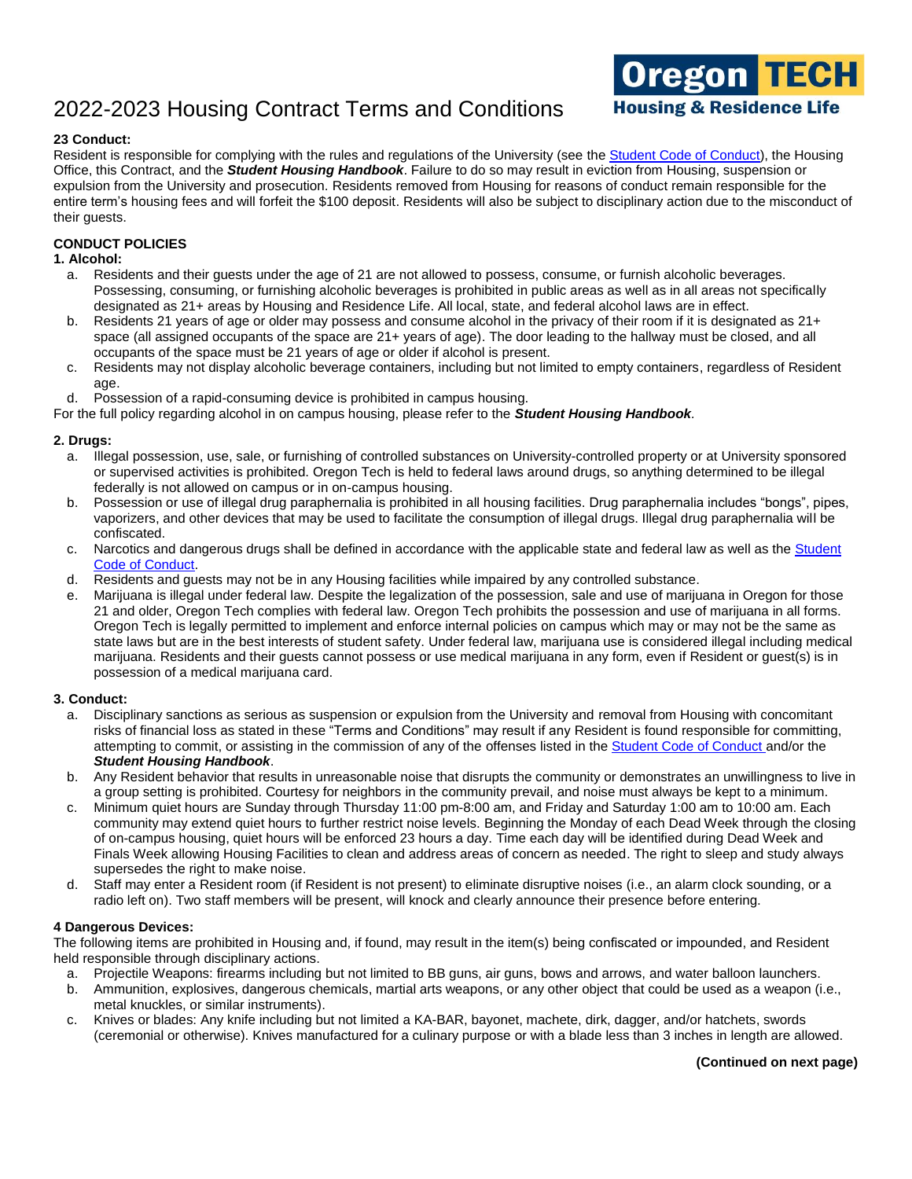

### **23 Conduct:**

Resident is responsible for complying with the rules and regulations of the University (see the [Student Code of Conduct\)](http://www.oit.edu/docs/default-source/Student-Affairs-/student-handbook/student-conduct-code.pdf), the Housing Office, this Contract, and the *Student Housing Handbook*. Failure to do so may result in eviction from Housing, suspension or expulsion from the University and prosecution. Residents removed from Housing for reasons of conduct remain responsible for the entire term's housing fees and will forfeit the \$100 deposit. Residents will also be subject to disciplinary action due to the misconduct of their guests.

### **CONDUCT POLICIES**

### **1. Alcohol:**

- a. Residents and their guests under the age of 21 are not allowed to possess, consume, or furnish alcoholic beverages. Possessing, consuming, or furnishing alcoholic beverages is prohibited in public areas as well as in all areas not specifically designated as 21+ areas by Housing and Residence Life. All local, state, and federal alcohol laws are in effect.
- b. Residents 21 years of age or older may possess and consume alcohol in the privacy of their room if it is designated as 21+ space (all assigned occupants of the space are 21+ years of age). The door leading to the hallway must be closed, and all occupants of the space must be 21 years of age or older if alcohol is present.
- c. Residents may not display alcoholic beverage containers, including but not limited to empty containers, regardless of Resident age.
- d. Possession of a rapid-consuming device is prohibited in campus housing.

For the full policy regarding alcohol in on campus housing, please refer to the *Student Housing Handbook.*

# **2. Drugs:**

- a. Illegal possession, use, sale, or furnishing of controlled substances on University-controlled property or at University sponsored or supervised activities is prohibited. Oregon Tech is held to federal laws around drugs, so anything determined to be illegal federally is not allowed on campus or in on-campus housing.
- b. Possession or use of illegal drug paraphernalia is prohibited in all housing facilities. Drug paraphernalia includes "bongs", pipes, vaporizers, and other devices that may be used to facilitate the consumption of illegal drugs. Illegal drug paraphernalia will be confiscated.
- c. Narcotics and dangerous drugs shall be defined in accordance with the applicable state and federal law as well as the Student [Code of Conduct.](http://www.oit.edu/docs/default-source/Student-Affairs-/student-handbook/student-conduct-code.pdf)
- d. Residents and guests may not be in any Housing facilities while impaired by any controlled substance.
- e. Marijuana is illegal under federal law. Despite the legalization of the possession, sale and use of marijuana in Oregon for those 21 and older, Oregon Tech complies with federal law. Oregon Tech prohibits the possession and use of marijuana in all forms. Oregon Tech is legally permitted to implement and enforce internal policies on campus which may or may not be the same as state laws but are in the best interests of student safety. Under federal law, marijuana use is considered illegal including medical marijuana. Residents and their guests cannot possess or use medical marijuana in any form, even if Resident or guest(s) is in possession of a medical marijuana card.

### **3. Conduct:**

- a. Disciplinary sanctions as serious as suspension or expulsion from the University and removal from Housing with concomitant risks of financial loss as stated in these "Terms and Conditions" may result if any Resident is found responsible for committing, attempting to commit, or assisting in the commission of any of the offenses listed in th[e Student Code of Conduct](http://www.oit.edu/docs/default-source/Student-Affairs-/student-handbook/student-conduct-code.pdf) and/or the *Student Housing Handbook*.
- b. Any Resident behavior that results in unreasonable noise that disrupts the community or demonstrates an unwillingness to live in a group setting is prohibited. Courtesy for neighbors in the community prevail, and noise must always be kept to a minimum.
- c. Minimum quiet hours are Sunday through Thursday 11:00 pm-8:00 am, and Friday and Saturday 1:00 am to 10:00 am. Each community may extend quiet hours to further restrict noise levels. Beginning the Monday of each Dead Week through the closing of on-campus housing, quiet hours will be enforced 23 hours a day. Time each day will be identified during Dead Week and Finals Week allowing Housing Facilities to clean and address areas of concern as needed. The right to sleep and study always supersedes the right to make noise.
- d. Staff may enter a Resident room (if Resident is not present) to eliminate disruptive noises (i.e., an alarm clock sounding, or a radio left on). Two staff members will be present, will knock and clearly announce their presence before entering.

#### **4 Dangerous Devices:**

The following items are prohibited in Housing and, if found, may result in the item(s) being confiscated or impounded, and Resident held responsible through disciplinary actions.

- a. Projectile Weapons: firearms including but not limited to BB guns, air guns, bows and arrows, and water balloon launchers.
- b. Ammunition, explosives, dangerous chemicals, martial arts weapons, or any other object that could be used as a weapon (i.e., metal knuckles, or similar instruments).
- c. Knives or blades: Any knife including but not limited a KA-BAR, bayonet, machete, dirk, dagger, and/or hatchets, swords (ceremonial or otherwise). Knives manufactured for a culinary purpose or with a blade less than 3 inches in length are allowed.